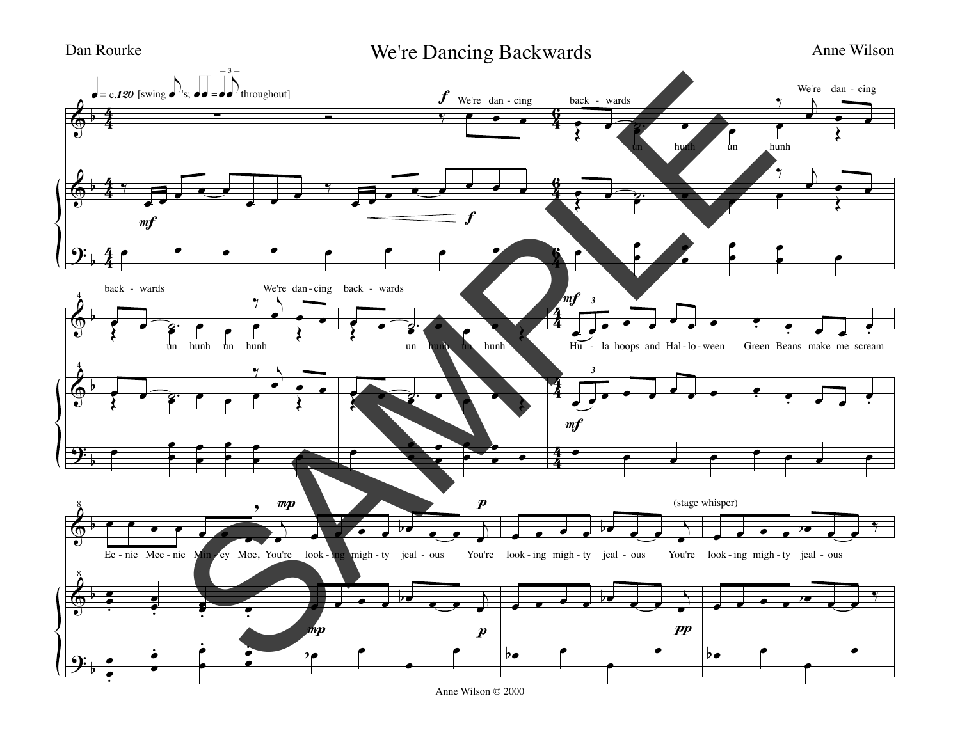Dan Rourke Ne're Dancing Backwards Anne Wilson



Anne Wilson © 2000